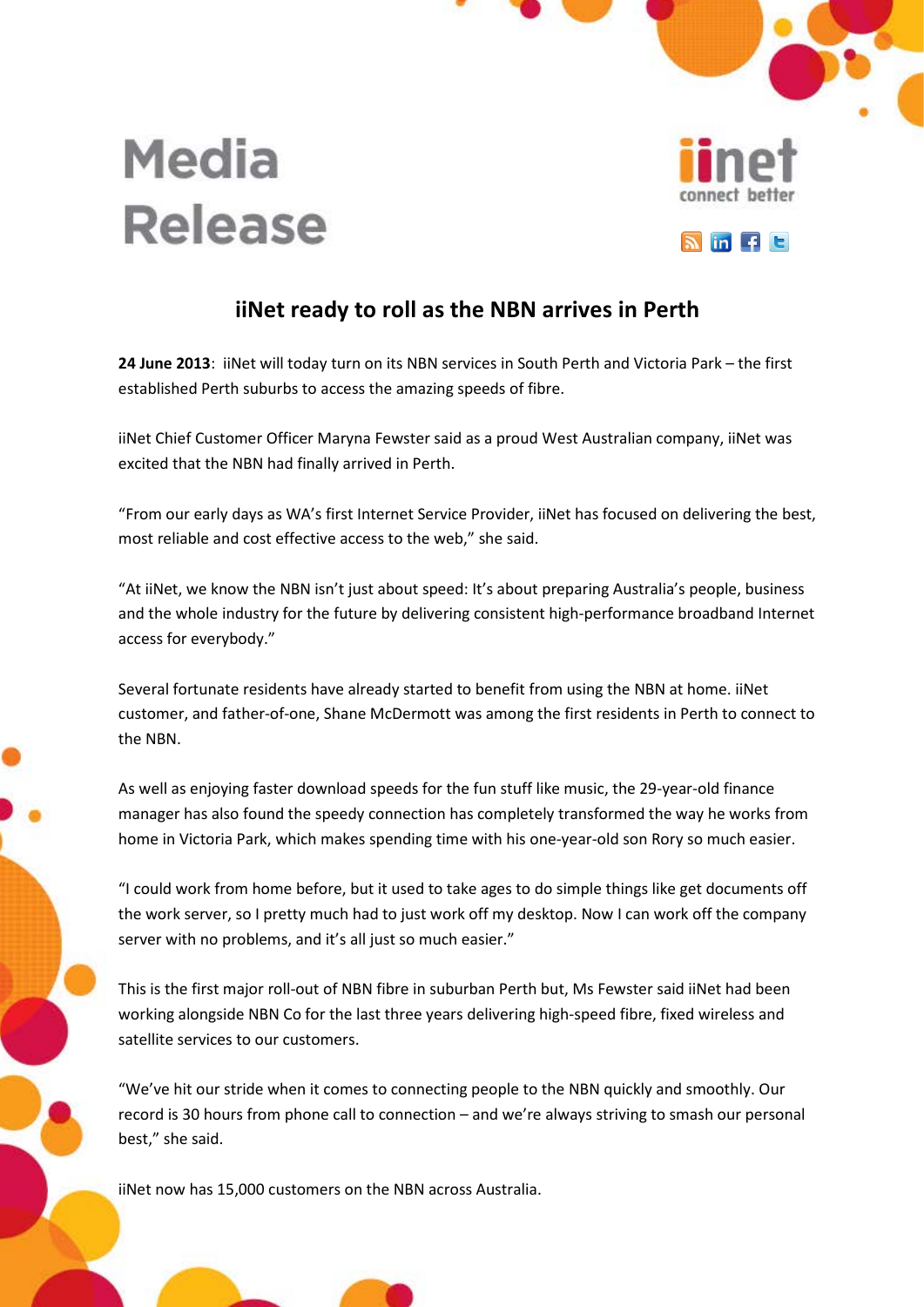

## **Media Release**

## **iiNet ready to roll as the NBN arrives in Perth**

**24 June 2013**: iiNet will today turn on its NBN services in South Perth and Victoria Park – the first established Perth suburbs to access the amazing speeds of fibre.

iiNet Chief Customer Officer Maryna Fewster said as a proud West Australian company, iiNet was excited that the NBN had finally arrived in Perth.

"From our early days as WA's first Internet Service Provider, iiNet has focused on delivering the best, most reliable and cost effective access to the web," she said.

"At iiNet, we know the NBN isn't just about speed: It's about preparing Australia's people, business and the whole industry for the future by delivering consistent high-performance broadband Internet access for everybody."

Several fortunate residents have already started to benefit from using the NBN at home. iiNet customer, and father-of-one, Shane McDermott was among the first residents in Perth to connect to the NBN.

As well as enjoying faster download speeds for the fun stuff like music, the 29-year-old finance manager has also found the speedy connection has completely transformed the way he works from home in Victoria Park, which makes spending time with his one-year-old son Rory so much easier.

"I could work from home before, but it used to take ages to do simple things like get documents off the work server, so I pretty much had to just work off my desktop. Now I can work off the company server with no problems, and it's all just so much easier."

This is the first major roll-out of NBN fibre in suburban Perth but, Ms Fewster said iiNet had been working alongside NBN Co for the last three years delivering high-speed fibre, fixed wireless and satellite services to our customers.

"We've hit our stride when it comes to connecting people to the NBN quickly and smoothly. Our record is 30 hours from phone call to connection – and we're always striving to smash our personal best," she said.

iiNet now has 15,000 customers on the NBN across Australia.